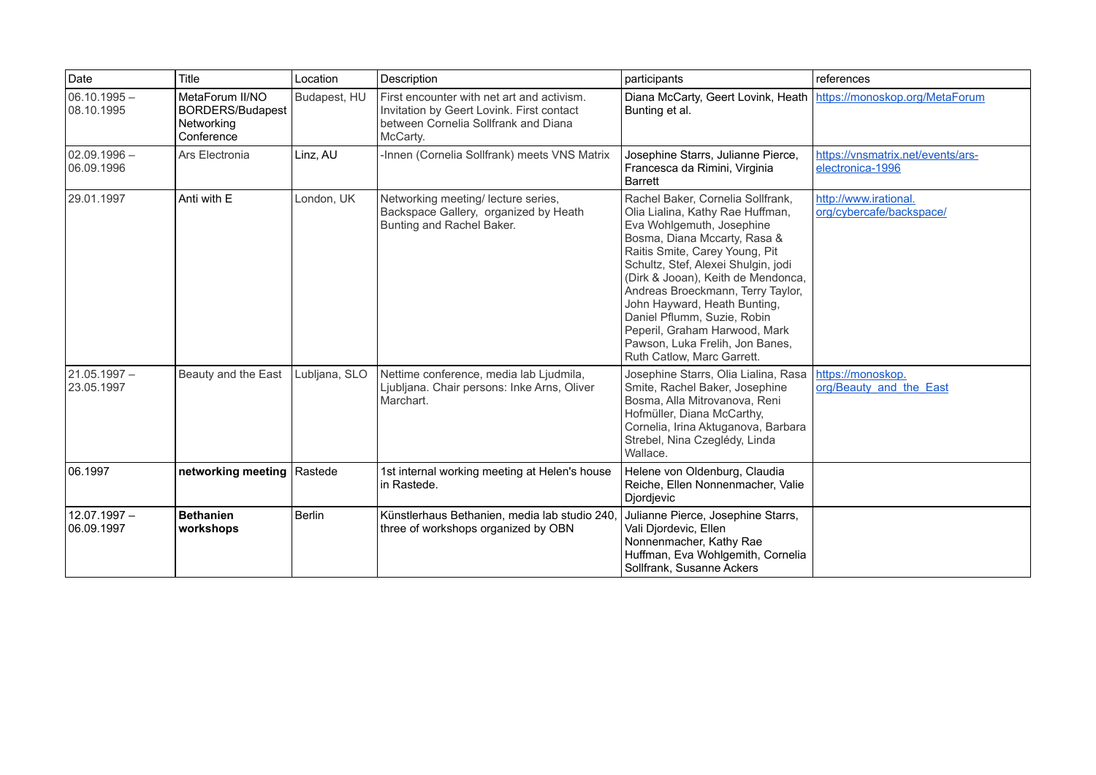| Date                         | Title                                                                  | Location      | Description                                                                                                                                 | participants                                                                                                                                                                                                                                                                                                                                                                                                                                            | references                                            |
|------------------------------|------------------------------------------------------------------------|---------------|---------------------------------------------------------------------------------------------------------------------------------------------|---------------------------------------------------------------------------------------------------------------------------------------------------------------------------------------------------------------------------------------------------------------------------------------------------------------------------------------------------------------------------------------------------------------------------------------------------------|-------------------------------------------------------|
| $06.10.1995 -$<br>08.10.1995 | MetaForum II/NO<br><b>BORDERS/Budapest</b><br>Networking<br>Conference | Budapest, HU  | First encounter with net art and activism.<br>Invitation by Geert Lovink. First contact<br>between Cornelia Sollfrank and Diana<br>McCarty. | Diana McCarty, Geert Lovink, Heath   https://monoskop.org/MetaForum<br>Bunting et al.                                                                                                                                                                                                                                                                                                                                                                   |                                                       |
| $02.09.1996 -$<br>06.09.1996 | Ars Electronia                                                         | Linz, AU      | -Innen (Cornelia Sollfrank) meets VNS Matrix                                                                                                | Josephine Starrs, Julianne Pierce,<br>Francesca da Rimini, Virginia<br><b>Barrett</b>                                                                                                                                                                                                                                                                                                                                                                   | https://vnsmatrix.net/events/ars-<br>electronica-1996 |
| 29.01.1997                   | Anti with E                                                            | London, UK    | Networking meeting/ lecture series,<br>Backspace Gallery, organized by Heath<br>Bunting and Rachel Baker.                                   | Rachel Baker, Cornelia Sollfrank,<br>Olia Lialina, Kathy Rae Huffman,<br>Eva Wohlgemuth, Josephine<br>Bosma, Diana Mccarty, Rasa &<br>Raitis Smite, Carey Young, Pit<br>Schultz, Stef, Alexei Shulgin, jodi<br>(Dirk & Jooan), Keith de Mendonca,<br>Andreas Broeckmann, Terry Taylor,<br>John Hayward, Heath Bunting,<br>Daniel Pflumm, Suzie, Robin<br>Peperil, Graham Harwood, Mark<br>Pawson, Luka Frelih, Jon Banes,<br>Ruth Catlow, Marc Garrett. | http://www.irational.<br>org/cybercafe/backspace/     |
| 21.05.1997 -<br>23.05.1997   | Beauty and the East                                                    | Lubljana, SLO | Nettime conference, media lab Ljudmila,<br>Ljubljana. Chair persons: Inke Arns, Oliver<br>Marchart.                                         | Josephine Starrs, Olia Lialina, Rasa<br>Smite, Rachel Baker, Josephine<br>Bosma, Alla Mitrovanova, Reni<br>Hofmüller, Diana McCarthy,<br>Cornelia, Irina Aktuganova, Barbara<br>Strebel, Nina Czeglédy, Linda<br>Wallace.                                                                                                                                                                                                                               | https://monoskop.<br>org/Beauty and the East          |
| 06.1997                      | networking meeting   Rastede                                           |               | 1st internal working meeting at Helen's house<br>l in Rastede.                                                                              | Helene von Oldenburg, Claudia<br>Reiche, Ellen Nonnenmacher, Valie<br>Djordjevic                                                                                                                                                                                                                                                                                                                                                                        |                                                       |
| $12.07.1997 -$<br>06.09.1997 | <b>Bethanien</b><br>workshops                                          | <b>Berlin</b> | Künstlerhaus Bethanien, media lab studio 240,<br>three of workshops organized by OBN                                                        | Julianne Pierce, Josephine Starrs,<br>Vali Djordevic, Ellen<br>Nonnenmacher, Kathy Rae<br>Huffman, Eva Wohlgemith, Cornelia<br>Sollfrank, Susanne Ackers                                                                                                                                                                                                                                                                                                |                                                       |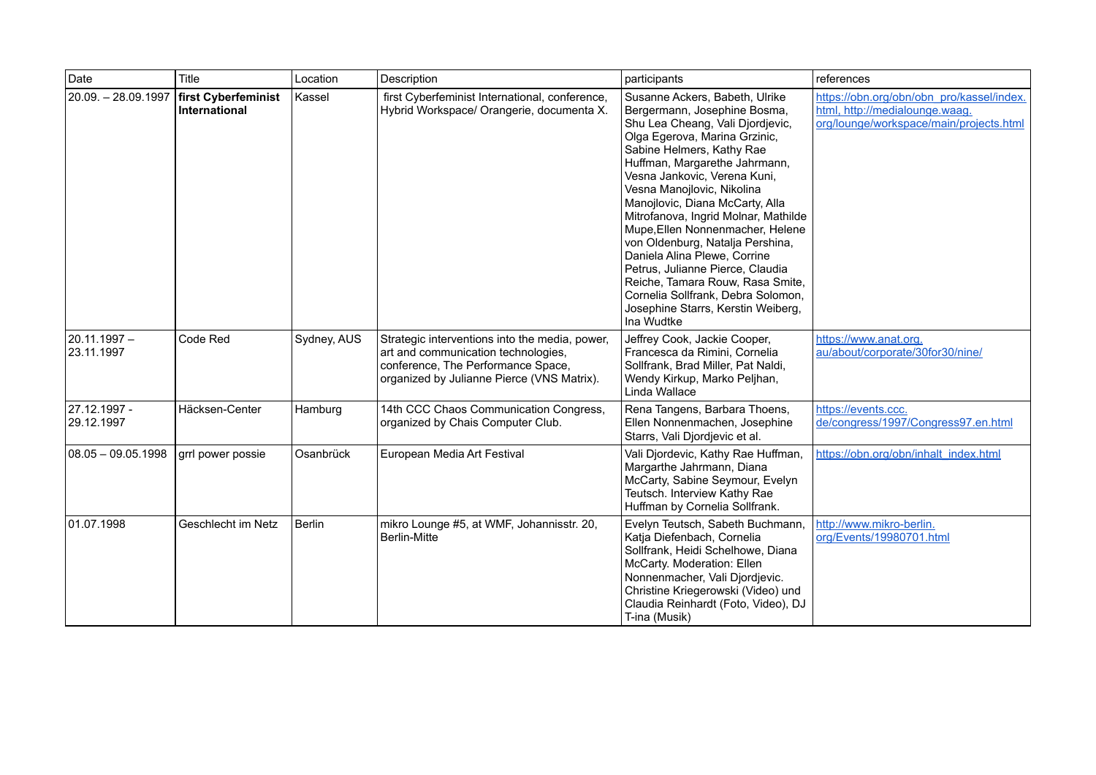| Date                         | Title                                | Location      | Description                                                                                                                                                               | participants                                                                                                                                                                                                                                                                                                                                                                                                                                                                                                                                                                                                         | references                                                                                                             |
|------------------------------|--------------------------------------|---------------|---------------------------------------------------------------------------------------------------------------------------------------------------------------------------|----------------------------------------------------------------------------------------------------------------------------------------------------------------------------------------------------------------------------------------------------------------------------------------------------------------------------------------------------------------------------------------------------------------------------------------------------------------------------------------------------------------------------------------------------------------------------------------------------------------------|------------------------------------------------------------------------------------------------------------------------|
| 20.09. - 28.09.1997          | first Cyberfeminist<br>International | Kassel        | first Cyberfeminist International, conference,<br>Hybrid Workspace/ Orangerie, documenta X.                                                                               | Susanne Ackers, Babeth, Ulrike<br>Bergermann, Josephine Bosma,<br>Shu Lea Cheang, Vali Djordjevic,<br>Olga Egerova, Marina Grzinic,<br>Sabine Helmers, Kathy Rae<br>Huffman, Margarethe Jahrmann,<br>Vesna Jankovic, Verena Kuni,<br>Vesna Manojlovic, Nikolina<br>Manojlovic, Diana McCarty, Alla<br>Mitrofanova, Ingrid Molnar, Mathilde<br>Mupe, Ellen Nonnenmacher, Helene<br>von Oldenburg, Natalja Pershina,<br>Daniela Alina Plewe, Corrine<br>Petrus, Julianne Pierce, Claudia<br>Reiche, Tamara Rouw, Rasa Smite,<br>Cornelia Sollfrank, Debra Solomon,<br>Josephine Starrs, Kerstin Weiberg,<br>Ina Wudtke | https://obn.org/obn/obn_pro/kassel/index.<br>html, http://medialounge.waag.<br>org/lounge/workspace/main/projects.html |
| l 20.11.1997 –<br>23.11.1997 | Code Red                             | Sydney, AUS   | Strategic interventions into the media, power,<br>art and communication technologies,<br>conference, The Performance Space,<br>organized by Julianne Pierce (VNS Matrix). | Jeffrey Cook, Jackie Cooper,<br>Francesca da Rimini, Cornelia<br>Sollfrank, Brad Miller, Pat Naldi,<br>Wendy Kirkup, Marko Peljhan,<br>Linda Wallace                                                                                                                                                                                                                                                                                                                                                                                                                                                                 | https://www.anat.org.<br>au/about/corporate/30for30/nine/                                                              |
| 27.12.1997 -<br>29.12.1997   | Häcksen-Center                       | Hamburg       | 14th CCC Chaos Communication Congress,<br>organized by Chais Computer Club.                                                                                               | Rena Tangens, Barbara Thoens,<br>Ellen Nonnenmachen, Josephine<br>Starrs, Vali Djordjevic et al.                                                                                                                                                                                                                                                                                                                                                                                                                                                                                                                     | https://events.ccc.<br>de/congress/1997/Congress97.en.html                                                             |
| $ 08.05 - 09.05.1998$        | grrl power possie                    | Osanbrück     | European Media Art Festival                                                                                                                                               | Vali Djordevic, Kathy Rae Huffman,<br>Margarthe Jahrmann, Diana<br>McCarty, Sabine Seymour, Evelyn<br>Teutsch. Interview Kathy Rae<br>Huffman by Cornelia Sollfrank.                                                                                                                                                                                                                                                                                                                                                                                                                                                 | https://obn.org/obn/inhalt_index.html                                                                                  |
| 01.07.1998                   | Geschlecht im Netz                   | <b>Berlin</b> | mikro Lounge #5, at WMF, Johannisstr. 20,<br><b>Berlin-Mitte</b>                                                                                                          | Evelyn Teutsch, Sabeth Buchmann,<br>Katja Diefenbach, Cornelia<br>Sollfrank, Heidi Schelhowe, Diana<br>McCarty. Moderation: Ellen<br>Nonnenmacher, Vali Djordjevic.<br>Christine Kriegerowski (Video) und<br>Claudia Reinhardt (Foto, Video), DJ<br>T-ina (Musik)                                                                                                                                                                                                                                                                                                                                                    | http://www.mikro-berlin.<br>org/Events/19980701.html                                                                   |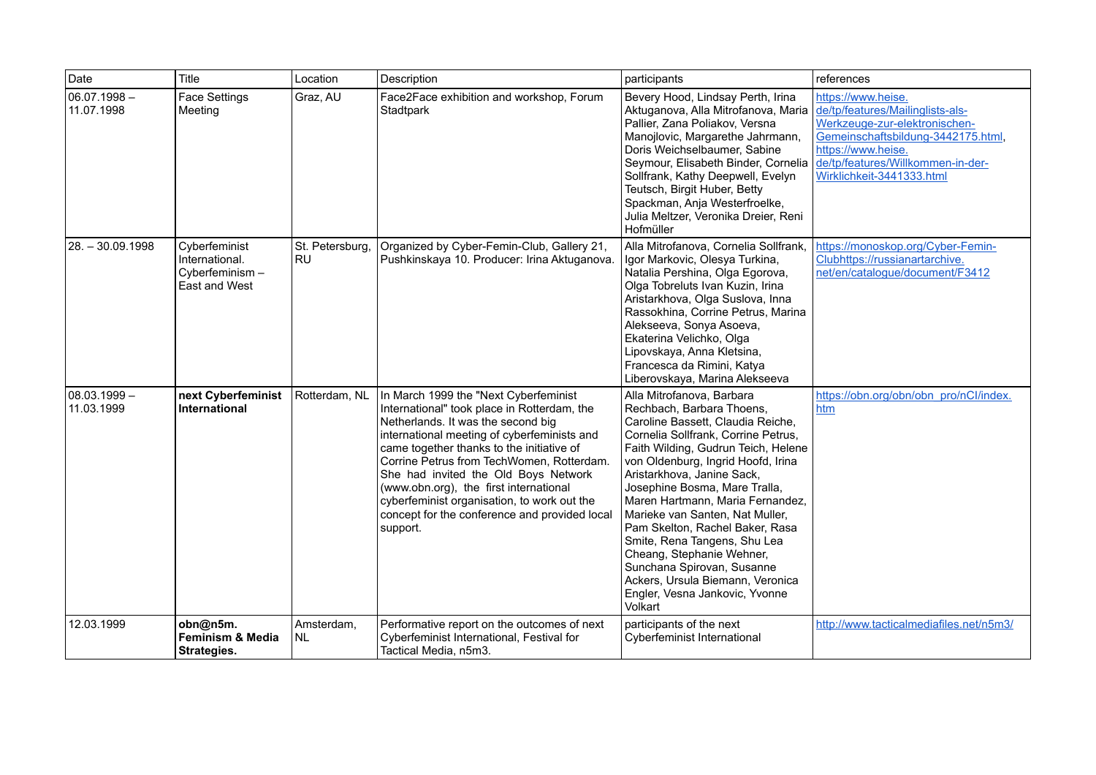| Date                         | Title                                                              | Location                     | Description                                                                                                                                                                                                                                                                                                                                                                                                                                                       | participants                                                                                                                                                                                                                                                                                                                                                                                                                                                                                                                                                         | references                                                                                                                                                                                                            |
|------------------------------|--------------------------------------------------------------------|------------------------------|-------------------------------------------------------------------------------------------------------------------------------------------------------------------------------------------------------------------------------------------------------------------------------------------------------------------------------------------------------------------------------------------------------------------------------------------------------------------|----------------------------------------------------------------------------------------------------------------------------------------------------------------------------------------------------------------------------------------------------------------------------------------------------------------------------------------------------------------------------------------------------------------------------------------------------------------------------------------------------------------------------------------------------------------------|-----------------------------------------------------------------------------------------------------------------------------------------------------------------------------------------------------------------------|
| $06.07.1998 -$<br>11.07.1998 | Face Settings<br>Meeting                                           | Graz, AU                     | Face2Face exhibition and workshop, Forum<br>Stadtpark                                                                                                                                                                                                                                                                                                                                                                                                             | Bevery Hood, Lindsay Perth, Irina<br>Aktuganova, Alla Mitrofanova, Maria<br>Pallier, Zana Poliakov, Versna<br>Manojlovic, Margarethe Jahrmann,<br>Doris Weichselbaumer, Sabine<br>Seymour, Elisabeth Binder, Cornelia<br>Sollfrank, Kathy Deepwell, Evelyn<br>Teutsch, Birgit Huber, Betty<br>Spackman, Anja Westerfroelke,<br>Julia Meltzer, Veronika Dreier, Reni<br>Hofmüller                                                                                                                                                                                     | https://www.heise.<br>de/tp/features/Mailinglists-als-<br>Werkzeuge-zur-elektronischen-<br>Gemeinschaftsbildung-3442175.html,<br>https://www.heise.<br>de/tp/features/Willkommen-in-der-<br>Wirklichkeit-3441333.html |
| 28. – 30.09.1998             | Cyberfeminist<br>International.<br>Cyberfeminism-<br>East and West | St. Petersburg,<br><b>RU</b> | Organized by Cyber-Femin-Club, Gallery 21,<br>Pushkinskaya 10. Producer: Irina Aktuganova.                                                                                                                                                                                                                                                                                                                                                                        | Alla Mitrofanova, Cornelia Sollfrank,<br>Igor Markovic, Olesya Turkina,<br>Natalia Pershina, Olga Egorova,<br>Olga Tobreluts Ivan Kuzin, Irina<br>Aristarkhova, Olga Suslova, Inna<br>Rassokhina, Corrine Petrus, Marina<br>Alekseeva, Sonya Asoeva,<br>Ekaterina Velichko, Olga<br>Lipovskaya, Anna Kletsina,<br>Francesca da Rimini, Katya<br>Liberovskaya, Marina Alekseeva                                                                                                                                                                                       | https://monoskop.org/Cyber-Femin-<br>Clubhttps://russianartarchive.<br>net/en/catalogue/document/F3412                                                                                                                |
| 08.03.1999 -<br>11.03.1999   | next Cyberfeminist<br>International                                | Rotterdam, NL                | In March 1999 the "Next Cyberfeminist<br>International" took place in Rotterdam, the<br>Netherlands. It was the second big<br>international meeting of cyberfeminists and<br>came together thanks to the initiative of<br>Corrine Petrus from TechWomen, Rotterdam.<br>She had invited the Old Boys Network<br>(www.obn.org), the first international<br>cyberfeminist organisation, to work out the<br>concept for the conference and provided local<br>support. | Alla Mitrofanova, Barbara<br>Rechbach, Barbara Thoens,<br>Caroline Bassett, Claudia Reiche,<br>Cornelia Sollfrank, Corrine Petrus,<br>Faith Wilding, Gudrun Teich, Helene<br>von Oldenburg, Ingrid Hoofd, Irina<br>Aristarkhova, Janine Sack,<br>Josephine Bosma, Mare Tralla,<br>Maren Hartmann, Maria Fernandez,<br>Marieke van Santen, Nat Muller,<br>Pam Skelton, Rachel Baker, Rasa<br>Smite, Rena Tangens, Shu Lea<br>Cheang, Stephanie Wehner,<br>Sunchana Spirovan, Susanne<br>Ackers, Ursula Biemann, Veronica<br>Engler, Vesna Jankovic, Yvonne<br>Volkart | https://obn.org/obn/obn_pro/nCl/index.<br>htm                                                                                                                                                                         |
| 12.03.1999                   | obn@n5m.<br><b>Feminism &amp; Media</b><br><b>Strategies.</b>      | Amsterdam,<br><b>NL</b>      | Performative report on the outcomes of next<br>Cyberfeminist International, Festival for<br>Tactical Media, n5m3.                                                                                                                                                                                                                                                                                                                                                 | participants of the next<br>Cyberfeminist International                                                                                                                                                                                                                                                                                                                                                                                                                                                                                                              | http://www.tacticalmediafiles.net/n5m3/                                                                                                                                                                               |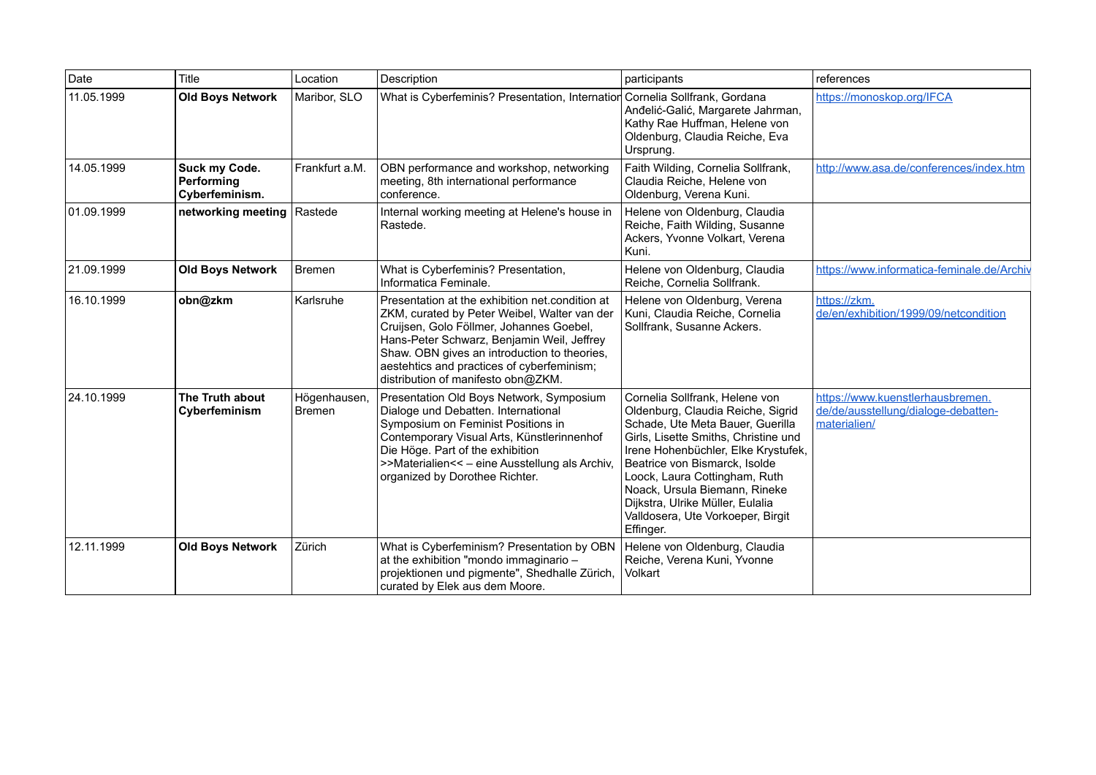| Date       | Title                                         | Location                      | Description                                                                                                                                                                                                                                                                                                                   | participants                                                                                                                                                                                                                                                                                                                                                                    | references                                                                              |
|------------|-----------------------------------------------|-------------------------------|-------------------------------------------------------------------------------------------------------------------------------------------------------------------------------------------------------------------------------------------------------------------------------------------------------------------------------|---------------------------------------------------------------------------------------------------------------------------------------------------------------------------------------------------------------------------------------------------------------------------------------------------------------------------------------------------------------------------------|-----------------------------------------------------------------------------------------|
| 11.05.1999 | <b>Old Boys Network</b>                       | Maribor, SLO                  | What is Cyberfeminis? Presentation, Internation Cornelia Sollfrank, Gordana                                                                                                                                                                                                                                                   | Anđelić-Galić, Margarete Jahrman,<br>Kathy Rae Huffman, Helene von<br>Oldenburg, Claudia Reiche, Eva<br>Ursprung.                                                                                                                                                                                                                                                               | https://monoskop.org/IFCA                                                               |
| 14.05.1999 | Suck my Code.<br>Performing<br>Cyberfeminism. | Frankfurt a.M.                | OBN performance and workshop, networking<br>meeting, 8th international performance<br>conference.                                                                                                                                                                                                                             | Faith Wilding, Cornelia Sollfrank,<br>Claudia Reiche, Helene von<br>Oldenburg, Verena Kuni.                                                                                                                                                                                                                                                                                     | http://www.asa.de/conferences/index.htm                                                 |
| 01.09.1999 | networking meeting                            | Rastede                       | Internal working meeting at Helene's house in<br>Rastede.                                                                                                                                                                                                                                                                     | Helene von Oldenburg, Claudia<br>Reiche, Faith Wilding, Susanne<br>Ackers, Yvonne Volkart, Verena<br>Kuni.                                                                                                                                                                                                                                                                      |                                                                                         |
| 21.09.1999 | <b>Old Boys Network</b>                       | Bremen                        | What is Cyberfeminis? Presentation,<br>Informatica Feminale.                                                                                                                                                                                                                                                                  | Helene von Oldenburg, Claudia<br>Reiche, Cornelia Sollfrank.                                                                                                                                                                                                                                                                                                                    | https://www.informatica-feminale.de/Archiv                                              |
| 16.10.1999 | obn@zkm                                       | Karlsruhe                     | Presentation at the exhibition net condition at<br>ZKM, curated by Peter Weibel, Walter van der<br>Cruijsen, Golo Föllmer, Johannes Goebel,<br>Hans-Peter Schwarz, Benjamin Weil, Jeffrey<br>Shaw. OBN gives an introduction to theories,<br>aestehtics and practices of cyberfeminism;<br>distribution of manifesto obn@ZKM. | Helene von Oldenburg, Verena<br>Kuni, Claudia Reiche, Cornelia<br>Sollfrank, Susanne Ackers.                                                                                                                                                                                                                                                                                    | https://zkm.<br>de/en/exhibition/1999/09/netcondition                                   |
| 24.10.1999 | The Truth about<br>Cyberfeminism              | Högenhausen,<br><b>Bremen</b> | Presentation Old Boys Network, Symposium<br>Dialoge und Debatten. International<br>Symposium on Feminist Positions in<br>Contemporary Visual Arts, Künstlerinnenhof<br>Die Höge. Part of the exhibition<br>>>Materialien<< - eine Ausstellung als Archiv,<br>organized by Dorothee Richter.                                   | Cornelia Sollfrank, Helene von<br>Oldenburg, Claudia Reiche, Sigrid<br>Schade, Ute Meta Bauer, Guerilla<br>Girls, Lisette Smiths, Christine und<br>Irene Hohenbüchler, Elke Krystufek,<br>Beatrice von Bismarck, Isolde<br>Loock, Laura Cottingham, Ruth<br>Noack, Ursula Biemann, Rineke<br>Dijkstra, Ulrike Müller, Eulalia<br>Valldosera, Ute Vorkoeper, Birgit<br>Effinger. | https://www.kuenstlerhausbremen.<br>de/de/ausstellung/dialoge-debatten-<br>materialien/ |
| 12.11.1999 | <b>Old Boys Network</b>                       | Zürich                        | What is Cyberfeminism? Presentation by OBN<br>at the exhibition "mondo immaginario -<br>projektionen und pigmente", Shedhalle Zürich,<br>curated by Elek aus dem Moore.                                                                                                                                                       | Helene von Oldenburg, Claudia<br>Reiche, Verena Kuni, Yvonne<br>Volkart                                                                                                                                                                                                                                                                                                         |                                                                                         |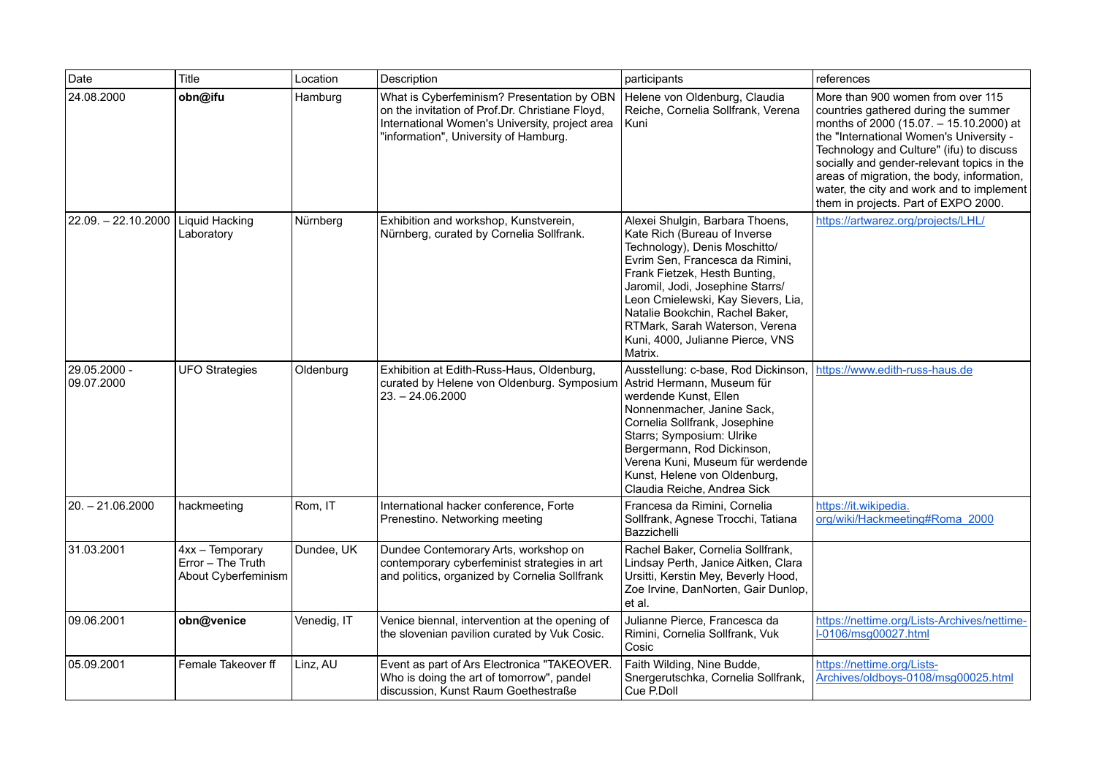| Date                       | Title                                                       | Location    | Description                                                                                                                                                                              | participants                                                                                                                                                                                                                                                                                                                                                       | references                                                                                                                                                                                                                                                                                                                                                                                   |
|----------------------------|-------------------------------------------------------------|-------------|------------------------------------------------------------------------------------------------------------------------------------------------------------------------------------------|--------------------------------------------------------------------------------------------------------------------------------------------------------------------------------------------------------------------------------------------------------------------------------------------------------------------------------------------------------------------|----------------------------------------------------------------------------------------------------------------------------------------------------------------------------------------------------------------------------------------------------------------------------------------------------------------------------------------------------------------------------------------------|
| 24.08.2000                 | obn@ifu                                                     | Hamburg     | What is Cyberfeminism? Presentation by OBN<br>on the invitation of Prof.Dr. Christiane Floyd,<br>International Women's University, project area<br>"information", University of Hamburg. | Helene von Oldenburg, Claudia<br>Reiche, Cornelia Sollfrank, Verena<br>Kuni                                                                                                                                                                                                                                                                                        | More than 900 women from over 115<br>countries gathered during the summer<br>months of 2000 (15.07. - 15.10.2000) at<br>the "International Women's University -<br>Technology and Culture" (ifu) to discuss<br>socially and gender-relevant topics in the<br>areas of migration, the body, information,<br>water, the city and work and to implement<br>them in projects. Part of EXPO 2000. |
| $22.09. - 22.10.2000$      | <b>Liquid Hacking</b><br>Laboratory                         | Nürnberg    | Exhibition and workshop, Kunstverein,<br>Nürnberg, curated by Cornelia Sollfrank.                                                                                                        | Alexei Shulgin, Barbara Thoens,<br>Kate Rich (Bureau of Inverse<br>Technology), Denis Moschitto/<br>Evrim Sen, Francesca da Rimini,<br>Frank Fietzek, Hesth Bunting,<br>Jaromil, Jodi, Josephine Starrs/<br>Leon Cmielewski, Kay Sievers, Lia,<br>Natalie Bookchin, Rachel Baker,<br>RTMark, Sarah Waterson, Verena<br>Kuni, 4000, Julianne Pierce, VNS<br>Matrix. | https://artwarez.org/projects/LHL/                                                                                                                                                                                                                                                                                                                                                           |
| 29.05.2000 -<br>09.07.2000 | <b>UFO Strategies</b>                                       | Oldenburg   | Exhibition at Edith-Russ-Haus, Oldenburg,<br>curated by Helene von Oldenburg. Symposium<br>$23. - 24.06.2000$                                                                            | Ausstellung: c-base, Rod Dickinson,<br>Astrid Hermann, Museum für<br>werdende Kunst, Ellen<br>Nonnenmacher, Janine Sack,<br>Cornelia Sollfrank, Josephine<br>Starrs; Symposium: Ulrike<br>Bergermann, Rod Dickinson,<br>Verena Kuni, Museum für werdende<br>Kunst, Helene von Oldenburg,<br>Claudia Reiche, Andrea Sick                                            | https://www.edith-russ-haus.de                                                                                                                                                                                                                                                                                                                                                               |
| $20. - 21.06.2000$         | hackmeeting                                                 | Rom, IT     | International hacker conference, Forte<br>Prenestino. Networking meeting                                                                                                                 | Francesa da Rimini, Cornelia<br>Sollfrank, Agnese Trocchi, Tatiana<br>Bazzichelli                                                                                                                                                                                                                                                                                  | https://it.wikipedia.<br>org/wiki/Hackmeeting#Roma 2000                                                                                                                                                                                                                                                                                                                                      |
| 31.03.2001                 | 4xx - Temporary<br>Error - The Truth<br>About Cyberfeminism | Dundee, UK  | Dundee Contemorary Arts, workshop on<br>contemporary cyberfeminist strategies in art<br>and politics, organized by Cornelia Sollfrank                                                    | Rachel Baker, Cornelia Sollfrank,<br>Lindsay Perth, Janice Aitken, Clara<br>Ursitti, Kerstin Mey, Beverly Hood,<br>Zoe Irvine, DanNorten, Gair Dunlop,<br>et al.                                                                                                                                                                                                   |                                                                                                                                                                                                                                                                                                                                                                                              |
| 09.06.2001                 | obn@venice                                                  | Venedig, IT | Venice biennal, intervention at the opening of<br>the slovenian pavilion curated by Vuk Cosic.                                                                                           | Julianne Pierce, Francesca da<br>Rimini, Cornelia Sollfrank, Vuk<br>Cosic                                                                                                                                                                                                                                                                                          | https://nettime.org/Lists-Archives/nettime-<br>I-0106/msg00027.html                                                                                                                                                                                                                                                                                                                          |
| 05.09.2001                 | Female Takeover ff                                          | Linz, AU    | Event as part of Ars Electronica "TAKEOVER.<br>Who is doing the art of tomorrow", pandel<br>discussion, Kunst Raum Goethestraße                                                          | Faith Wilding, Nine Budde,<br>Snergerutschka, Cornelia Sollfrank,<br>Cue P.Doll                                                                                                                                                                                                                                                                                    | https://nettime.org/Lists-<br>Archives/oldboys-0108/msq00025.html                                                                                                                                                                                                                                                                                                                            |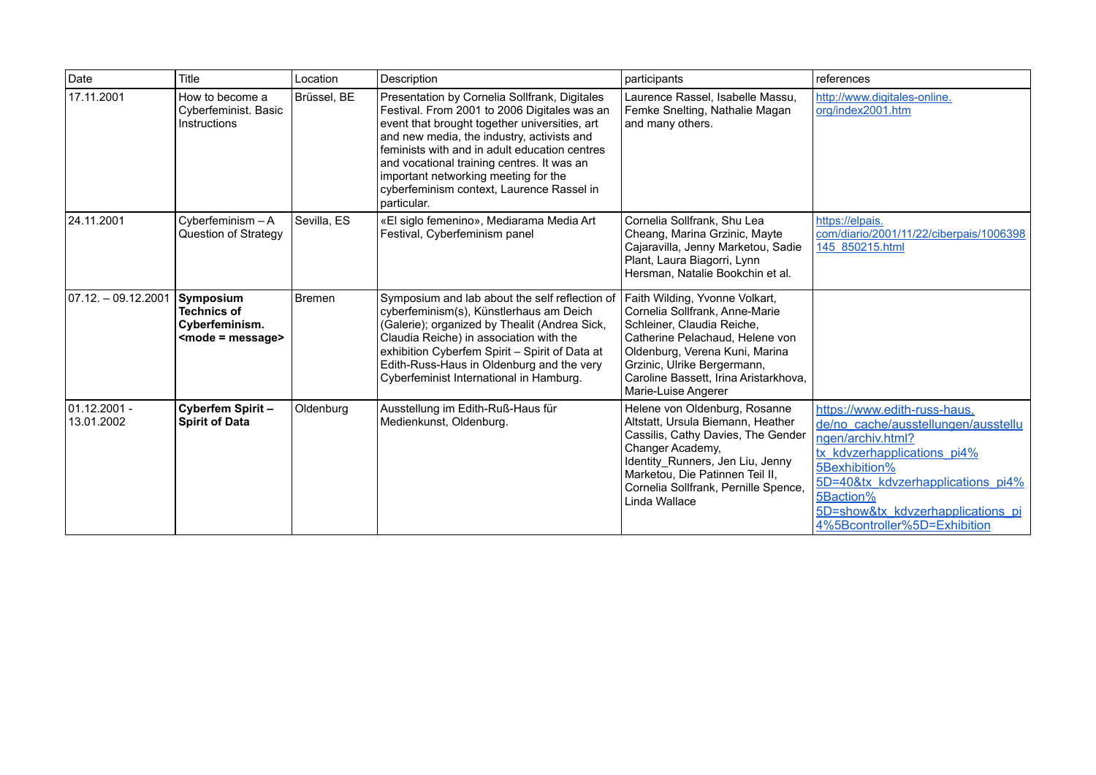| Date                        | Title                                                                  | Location    | Description                                                                                                                                                                                                                                                                                                                                                                                     | participants                                                                                                                                                                                                                                                       | references                                                                                                                                                                                                                                                      |
|-----------------------------|------------------------------------------------------------------------|-------------|-------------------------------------------------------------------------------------------------------------------------------------------------------------------------------------------------------------------------------------------------------------------------------------------------------------------------------------------------------------------------------------------------|--------------------------------------------------------------------------------------------------------------------------------------------------------------------------------------------------------------------------------------------------------------------|-----------------------------------------------------------------------------------------------------------------------------------------------------------------------------------------------------------------------------------------------------------------|
| 17.11.2001                  | How to become a<br>Cyberfeminist. Basic<br>Instructions                | Brüssel. BE | Presentation by Cornelia Sollfrank, Digitales<br>Festival. From 2001 to 2006 Digitales was an<br>event that brought together universities, art<br>and new media, the industry, activists and<br>feminists with and in adult education centres<br>and vocational training centres. It was an<br>important networking meeting for the<br>cyberfeminism context, Laurence Rassel in<br>particular. | Laurence Rassel, Isabelle Massu,<br>Femke Snelting, Nathalie Magan<br>and many others.                                                                                                                                                                             | http://www.digitales-online.<br>org/index2001.htm                                                                                                                                                                                                               |
| 24.11.2001                  | Cyberfeminism - A<br>Question of Strategy                              | Sevilla, ES | «El siglo femenino», Mediarama Media Art<br>Festival, Cyberfeminism panel                                                                                                                                                                                                                                                                                                                       | Cornelia Sollfrank, Shu Lea<br>Cheang, Marina Grzinic, Mayte<br>Cajaravilla, Jenny Marketou, Sadie<br>Plant, Laura Biagorri, Lynn<br>Hersman. Natalie Bookchin et al.                                                                                              | https://elpais.<br>com/diario/2001/11/22/ciberpais/1006398<br>145 850215.html                                                                                                                                                                                   |
| 07.12. – 09.12.2001         | Symposium<br><b>Technics of</b><br>Cyberfeminism.<br>$mode = message>$ | Bremen      | Symposium and lab about the self reflection of<br>cyberfeminism(s), Künstlerhaus am Deich<br>(Galerie); organized by Thealit (Andrea Sick,<br>Claudia Reiche) in association with the<br>exhibition Cyberfem Spirit - Spirit of Data at<br>Edith-Russ-Haus in Oldenburg and the very<br>Cyberfeminist International in Hamburg.                                                                 | Faith Wilding, Yvonne Volkart,<br>Cornelia Sollfrank, Anne-Marie<br>Schleiner, Claudia Reiche,<br>Catherine Pelachaud, Helene von<br>Oldenburg, Verena Kuni, Marina<br>Grzinic, Ulrike Bergermann,<br>Caroline Bassett, Irina Aristarkhova,<br>Marie-Luise Angerer |                                                                                                                                                                                                                                                                 |
| 101.12.2001 -<br>13.01.2002 | Cyberfem Spirit-<br><b>Spirit of Data</b>                              | Oldenburg   | Ausstellung im Edith-Ruß-Haus für<br>Medienkunst, Oldenburg.                                                                                                                                                                                                                                                                                                                                    | Helene von Oldenburg, Rosanne<br>Altstatt, Ursula Biemann, Heather<br>Cassilis, Cathy Davies, The Gender<br>Changer Academy,<br>Identity Runners, Jen Liu, Jenny<br>Marketou, Die Patinnen Teil II,<br>Cornelia Sollfrank, Pernille Spence,<br>Linda Wallace       | https://www.edith-russ-haus.<br>de/no cache/ausstellungen/ausstellu<br>ngen/archiv.html?<br>tx kdvzerhapplications pi4%<br>5Bexhibition%<br>5D=40&tx_kdvzerhapplications_pi4%<br>5Baction%<br>5D=show&tx kdvzerhapplications pi<br>4%5Bcontroller%5D=Exhibition |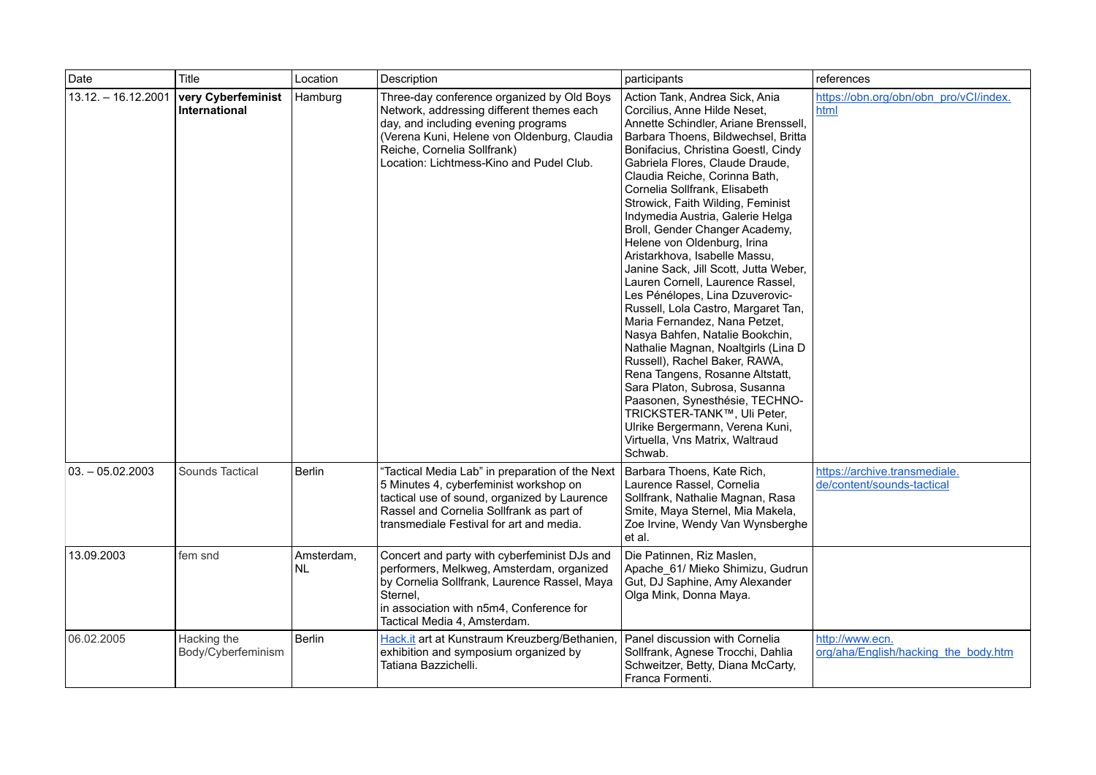| Date                | Title                               | Location                | Description                                                                                                                                                                                                                                              | participants                                                                                                                                                                                                                                                                                                                                                                                                                                                                                                                                                                                                                                                                                                                                                                                                                                                                                                                                                                                  | references                                                  |
|---------------------|-------------------------------------|-------------------------|----------------------------------------------------------------------------------------------------------------------------------------------------------------------------------------------------------------------------------------------------------|-----------------------------------------------------------------------------------------------------------------------------------------------------------------------------------------------------------------------------------------------------------------------------------------------------------------------------------------------------------------------------------------------------------------------------------------------------------------------------------------------------------------------------------------------------------------------------------------------------------------------------------------------------------------------------------------------------------------------------------------------------------------------------------------------------------------------------------------------------------------------------------------------------------------------------------------------------------------------------------------------|-------------------------------------------------------------|
| 13.12. - 16.12.2001 | very Cyberfeminist<br>International | Hamburg                 | Three-day conference organized by Old Boys<br>Network, addressing different themes each<br>day, and including evening programs<br>(Verena Kuni, Helene von Oldenburg, Claudia<br>Reiche, Cornelia Sollfrank)<br>Location: Lichtmess-Kino and Pudel Club. | Action Tank, Andrea Sick, Ania<br>Corcilius, Anne Hilde Neset,<br>Annette Schindler, Ariane Brenssell,<br>Barbara Thoens, Bildwechsel, Britta<br>Bonifacius, Christina Goestl, Cindy<br>Gabriela Flores, Claude Draude,<br>Claudia Reiche, Corinna Bath,<br>Cornelia Sollfrank, Elisabeth<br>Strowick, Faith Wilding, Feminist<br>Indymedia Austria, Galerie Helga<br>Broll, Gender Changer Academy,<br>Helene von Oldenburg, Irina<br>Aristarkhova, Isabelle Massu,<br>Janine Sack, Jill Scott, Jutta Weber,<br>Lauren Cornell, Laurence Rassel,<br>Les Pénélopes, Lina Dzuverovic-<br>Russell, Lola Castro, Margaret Tan,<br>Maria Fernandez, Nana Petzet,<br>Nasya Bahfen, Natalie Bookchin,<br>Nathalie Magnan, Noaltgirls (Lina D<br>Russell), Rachel Baker, RAWA,<br>Rena Tangens, Rosanne Altstatt,<br>Sara Platon, Subrosa, Susanna<br>Paasonen, Synesthésie, TECHNO-<br>TRICKSTER-TANK™, Uli Peter,<br>Ulrike Bergermann, Verena Kuni,<br>Virtuella, Vns Matrix, Waltraud<br>Schwab. | https://obn.org/obn/obn_pro/vCl/index.<br>html              |
| $03. - 05.02.2003$  | Sounds Tactical                     | <b>Berlin</b>           | 'Tactical Media Lab" in preparation of the Next<br>5 Minutes 4, cyberfeminist workshop on<br>tactical use of sound, organized by Laurence<br>Rassel and Cornelia Sollfrank as part of<br>transmediale Festival for art and media.                        | Barbara Thoens, Kate Rich,<br>Laurence Rassel, Cornelia<br>Sollfrank, Nathalie Magnan, Rasa<br>Smite, Maya Sternel, Mia Makela,<br>Zoe Irvine, Wendy Van Wynsberghe<br>et al.                                                                                                                                                                                                                                                                                                                                                                                                                                                                                                                                                                                                                                                                                                                                                                                                                 | https://archive.transmediale.<br>de/content/sounds-tactical |
| 13.09.2003          | fem snd                             | Amsterdam,<br><b>NL</b> | Concert and party with cyberfeminist DJs and<br>performers, Melkweg, Amsterdam, organized<br>by Cornelia Sollfrank, Laurence Rassel, Maya<br>Sternel,<br>in association with n5m4, Conference for<br>Tactical Media 4, Amsterdam.                        | Die Patinnen, Riz Maslen,<br>Apache 61/ Mieko Shimizu, Gudrun<br>Gut, DJ Saphine, Amy Alexander<br>Olga Mink, Donna Maya.                                                                                                                                                                                                                                                                                                                                                                                                                                                                                                                                                                                                                                                                                                                                                                                                                                                                     |                                                             |
| 06.02.2005          | Hacking the<br>Body/Cyberfeminism   | Berlin                  | Hack.it art at Kunstraum Kreuzberg/Bethanien,<br>exhibition and symposium organized by<br>Tatiana Bazzichelli.                                                                                                                                           | Panel discussion with Cornelia<br>Sollfrank, Agnese Trocchi, Dahlia<br>Schweitzer, Betty, Diana McCarty,<br>Franca Formenti.                                                                                                                                                                                                                                                                                                                                                                                                                                                                                                                                                                                                                                                                                                                                                                                                                                                                  | http://www.ecn.<br>org/aha/English/hacking the body.htm     |